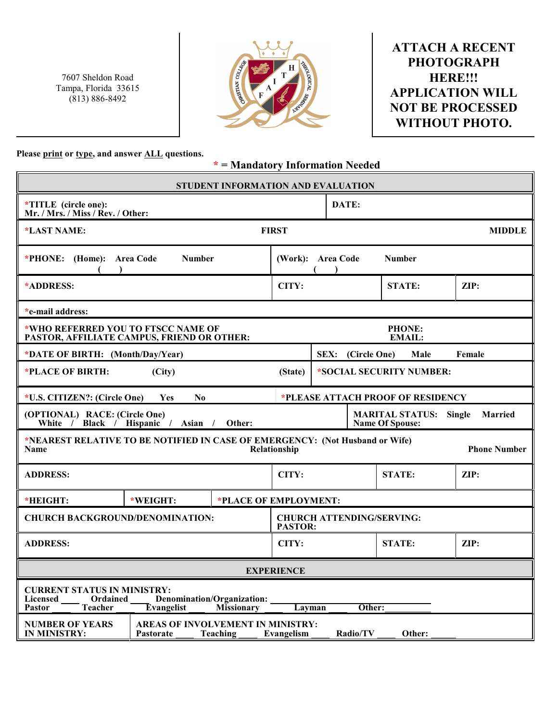7607 Sheldon Road Tampa, Florida 33615 (813) 886-8492



## **ATTACH A RECENT PHOTOGRAPH HERE!!! APPLICATION WILL NOT BE PROCESSED WITHOUT PHOTO.**

**Please print or type, and answer ALL questions.**

**\* = Mandatory Information Needed**

| STUDENT INFORMATION AND EVALUATION                                                                                                                                                        |              |  |                                                    |                                                                    |               |                 |  |  |
|-------------------------------------------------------------------------------------------------------------------------------------------------------------------------------------------|--------------|--|----------------------------------------------------|--------------------------------------------------------------------|---------------|-----------------|--|--|
| *TITLE (circle one):<br>Mr. / Mrs. / Miss / Rev. / Other:                                                                                                                                 |              |  |                                                    |                                                                    | DATE:         |                 |  |  |
| *LAST NAME:                                                                                                                                                                               | <b>FIRST</b> |  |                                                    |                                                                    | <b>MIDDLE</b> |                 |  |  |
| <b>Number</b><br>*PHONE: (Home): Area Code                                                                                                                                                |              |  | (Work): Area Code<br><b>Number</b>                 |                                                                    |               |                 |  |  |
| *ADDRESS:                                                                                                                                                                                 |              |  | CITY:                                              |                                                                    | <b>STATE:</b> | $\mathbf{ZIP:}$ |  |  |
| *e-mail address:                                                                                                                                                                          |              |  |                                                    |                                                                    |               |                 |  |  |
| *WHO REFERRED YOU TO FTSCC NAME OF<br>PASTOR, AFFILIATE CAMPUS, FRIEND OR OTHER:                                                                                                          |              |  |                                                    | <b>PHONE:</b><br>EMAIL:                                            |               |                 |  |  |
| *DATE OF BIRTH: (Month/Day/Year)                                                                                                                                                          |              |  |                                                    | SEX: (Circle One)<br>Male<br>Female                                |               |                 |  |  |
| *PLACE OF BIRTH:                                                                                                                                                                          | (City)       |  | (State)                                            | *SOCIAL SECURITY NUMBER:                                           |               |                 |  |  |
| *PLEASE ATTACH PROOF OF RESIDENCY<br>*U.S. CITIZEN?: (Circle One)<br><b>Yes</b><br>N <sub>0</sub>                                                                                         |              |  |                                                    |                                                                    |               |                 |  |  |
| (OPTIONAL) RACE: (Circle One)<br>White / Black / Hispanic / Asian / Other:                                                                                                                |              |  |                                                    | <b>MARITAL STATUS: Single</b><br>Married<br><b>Name Of Spouse:</b> |               |                 |  |  |
| *NEAREST RELATIVE TO BE NOTIFIED IN CASE OF EMERGENCY: (Not Husband or Wife)<br><b>Phone Number</b><br><b>Name</b><br>Relationship                                                        |              |  |                                                    |                                                                    |               |                 |  |  |
| <b>ADDRESS:</b>                                                                                                                                                                           |              |  | CITY:                                              |                                                                    | <b>STATE:</b> | ZIP:            |  |  |
| *HEIGHT:                                                                                                                                                                                  | *WEIGHT:     |  |                                                    | *PLACE OF EMPLOYMENT:                                              |               |                 |  |  |
| <b>CHURCH BACKGROUND/DENOMINATION:</b>                                                                                                                                                    |              |  | <b>CHURCH ATTENDING/SERVING:</b><br><b>PASTOR:</b> |                                                                    |               |                 |  |  |
| <b>ADDRESS:</b>                                                                                                                                                                           |              |  | CITY:                                              |                                                                    | <b>STATE:</b> | ZIP:            |  |  |
| <b>EXPERIENCE</b>                                                                                                                                                                         |              |  |                                                    |                                                                    |               |                 |  |  |
| <b>CURRENT STATUS IN MINISTRY:</b><br>Denomination/Organization:<br><b>Licensed</b><br>Ordained<br><b>Teacher</b><br>Evangelist<br><b>Missionary</b><br>Layman<br>Other:<br><b>Pastor</b> |              |  |                                                    |                                                                    |               |                 |  |  |
| AREAS OF INVOLVEMENT IN MINISTRY:<br><b>NUMBER OF YEARS</b><br>Radio/TV<br>Other:<br>IN MINISTRY:<br><b>Pastorate</b><br>Teaching<br>Evangelism                                           |              |  |                                                    |                                                                    |               |                 |  |  |